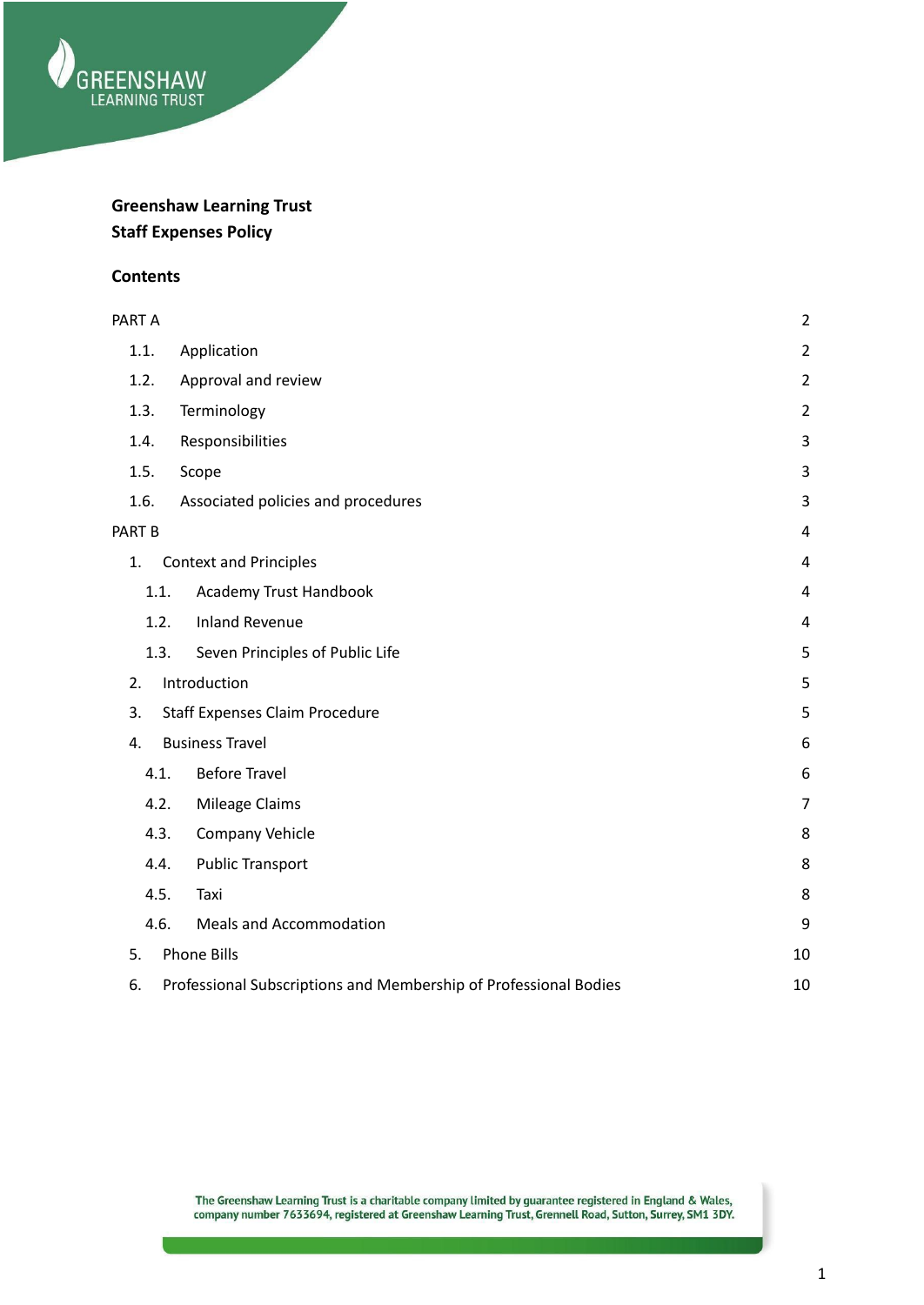

# **Greenshaw Learning Trust Staff Expenses Policy**

#### **Contents**

| PART A            |                                                                  | $\overline{2}$ |
|-------------------|------------------------------------------------------------------|----------------|
| 1.1.              | Application                                                      | $\overline{2}$ |
| 1.2.              | Approval and review                                              | $\overline{2}$ |
| 1.3.              | Terminology                                                      | $\overline{2}$ |
| 1.4.              | Responsibilities                                                 | 3              |
| 1.5.              | Scope                                                            | 3              |
| 1.6.              | Associated policies and procedures                               | 3              |
| PART <sub>B</sub> |                                                                  | 4              |
| 1.                | <b>Context and Principles</b>                                    | $\overline{4}$ |
| 1.1.              | Academy Trust Handbook                                           | $\overline{4}$ |
| 1.2.              | <b>Inland Revenue</b>                                            | $\overline{4}$ |
| 1.3.              | Seven Principles of Public Life                                  | 5              |
| 2.                | Introduction                                                     | 5              |
| 3.                | <b>Staff Expenses Claim Procedure</b>                            | 5              |
| 4.                | <b>Business Travel</b>                                           | 6              |
| 4.1.              | <b>Before Travel</b>                                             | 6              |
| 4.2.              | Mileage Claims                                                   | $\overline{7}$ |
| 4.3.              | <b>Company Vehicle</b>                                           | 8              |
| 4.4.              | <b>Public Transport</b>                                          | 8              |
| 4.5.              | Taxi                                                             | 8              |
| 4.6.              | <b>Meals and Accommodation</b>                                   | 9              |
| 5.                | <b>Phone Bills</b>                                               | 10             |
| 6.                | Professional Subscriptions and Membership of Professional Bodies | 10             |

The Greenshaw Learning Trust is a charitable company limited by guarantee registered in England & Wales,<br>company number 7633694, registered at Greenshaw Learning Trust, Grennell Road, Sutton, Surrey, SM1 3DY.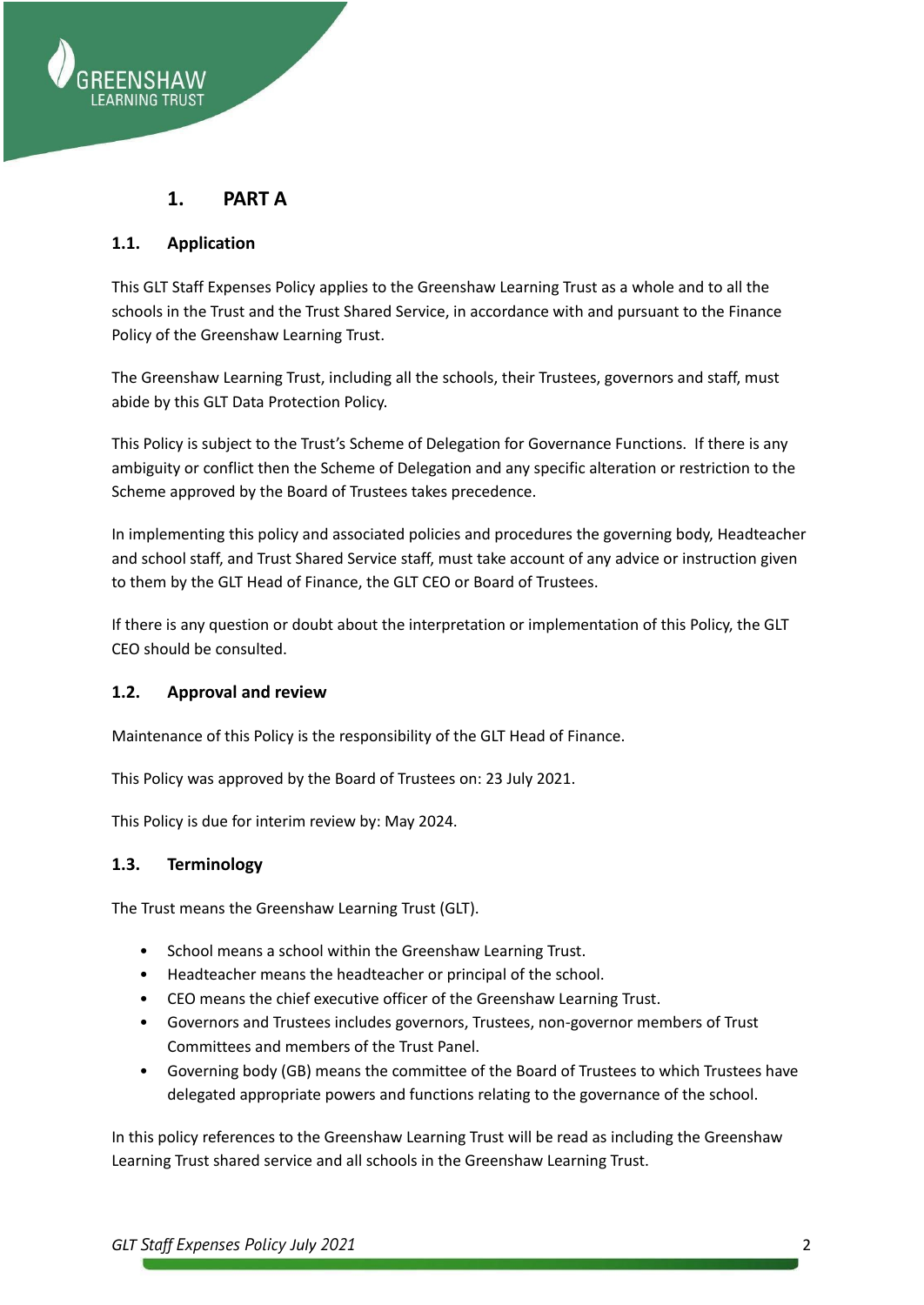

## **1. PART A**

#### <span id="page-1-1"></span><span id="page-1-0"></span>**1.1. Application**

This GLT Staff Expenses Policy applies to the Greenshaw Learning Trust as a whole and to all the schools in the Trust and the Trust Shared Service, in accordance with and pursuant to the Finance Policy of the Greenshaw Learning Trust.

The Greenshaw Learning Trust, including all the schools, their Trustees, governors and staff, must abide by this GLT Data Protection Policy.

This Policy is subject to the Trust's Scheme of Delegation for Governance Functions. If there is any ambiguity or conflict then the Scheme of Delegation and any specific alteration or restriction to the Scheme approved by the Board of Trustees takes precedence.

In implementing this policy and associated policies and procedures the governing body, Headteacher and school staff, and Trust Shared Service staff, must take account of any advice or instruction given to them by the GLT Head of Finance, the GLT CEO or Board of Trustees.

If there is any question or doubt about the interpretation or implementation of this Policy, the GLT CEO should be consulted.

## <span id="page-1-2"></span>**1.2. Approval and review**

Maintenance of this Policy is the responsibility of the GLT Head of Finance.

This Policy was approved by the Board of Trustees on: 23 July 2021.

This Policy is due for interim review by: May 2024.

#### <span id="page-1-3"></span>**1.3. Terminology**

The Trust means the Greenshaw Learning Trust (GLT).

- School means a school within the Greenshaw Learning Trust.
- Headteacher means the headteacher or principal of the school.
- CEO means the chief executive officer of the Greenshaw Learning Trust.
- Governors and Trustees includes governors, Trustees, non-governor members of Trust Committees and members of the Trust Panel.
- Governing body (GB) means the committee of the Board of Trustees to which Trustees have delegated appropriate powers and functions relating to the governance of the school.

In this policy references to the Greenshaw Learning Trust will be read as including the Greenshaw Learning Trust shared service and all schools in the Greenshaw Learning Trust.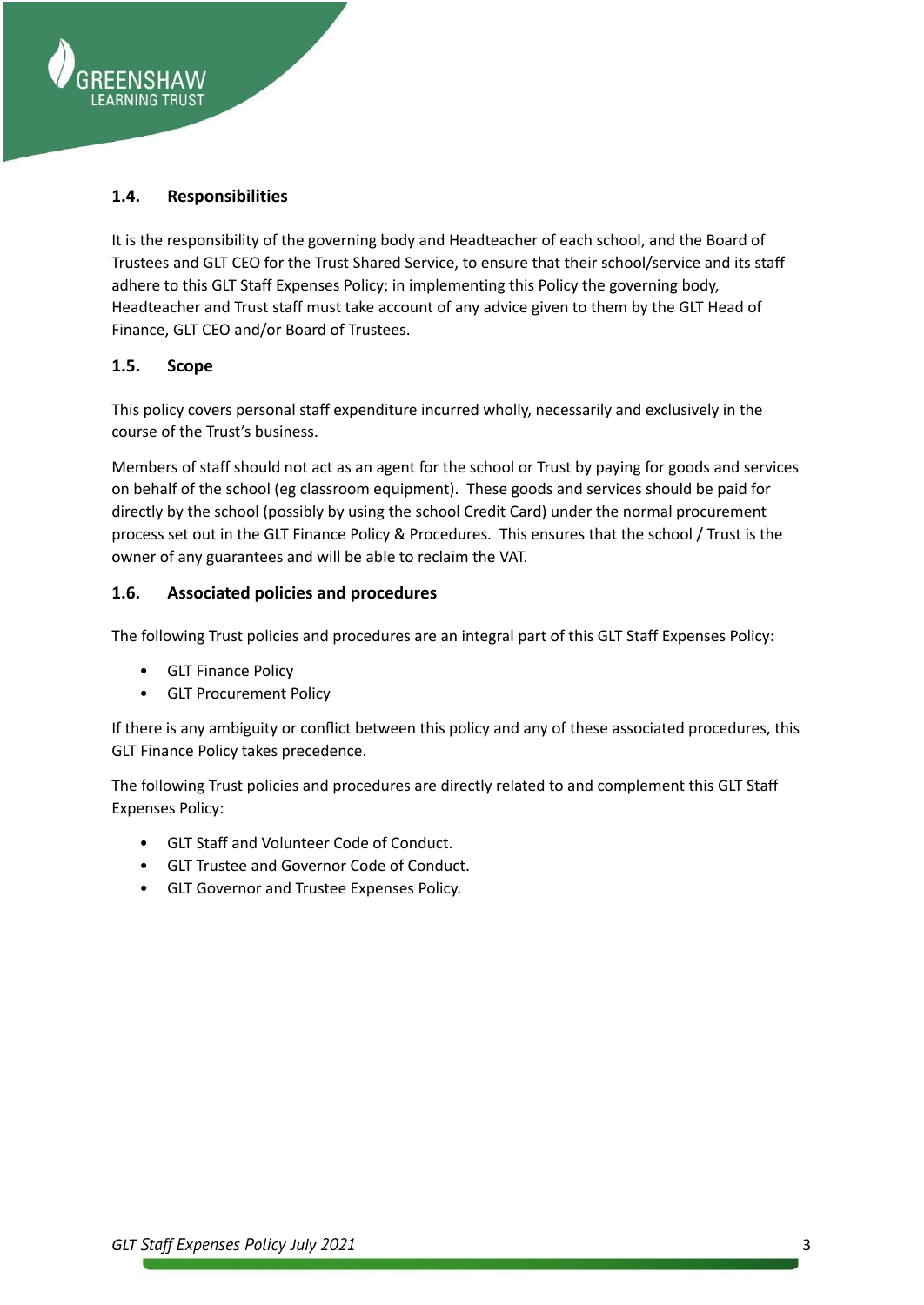

### <span id="page-2-0"></span>**1.4. Responsibilities**

It is the responsibility of the governing body and Headteacher of each school, and the Board of Trustees and GLT CEO for the Trust Shared Service, to ensure that their school/service and its staff adhere to this GLT Staff Expenses Policy; in implementing this Policy the governing body, Headteacher and Trust staff must take account of any advice given to them by the GLT Head of Finance, GLT CEO and/or Board of Trustees.

#### <span id="page-2-1"></span>**1.5. Scope**

This policy covers personal staff expenditure incurred wholly, necessarily and exclusively in the course of the Trust's business.

Members of staff should not act as an agent for the school or Trust by paying for goods and services on behalf of the school (eg classroom equipment). These goods and services should be paid for directly by the school (possibly by using the school Credit Card) under the normal procurement process set out in the GLT Finance Policy & Procedures. This ensures that the school / Trust is the owner of any guarantees and will be able to reclaim the VAT.

#### <span id="page-2-2"></span>**1.6. Associated policies and procedures**

The following Trust policies and procedures are an integral part of this GLT Staff Expenses Policy:

- GLT Finance Policy
- GLT Procurement Policy

If there is any ambiguity or conflict between this policy and any of these associated procedures, this GLT Finance Policy takes precedence.

The following Trust policies and procedures are directly related to and complement this GLT Staff Expenses Policy:

- GLT Staff and Volunteer Code of Conduct.
- GLT Trustee and Governor Code of Conduct.
- GLT Governor and Trustee Expenses Policy.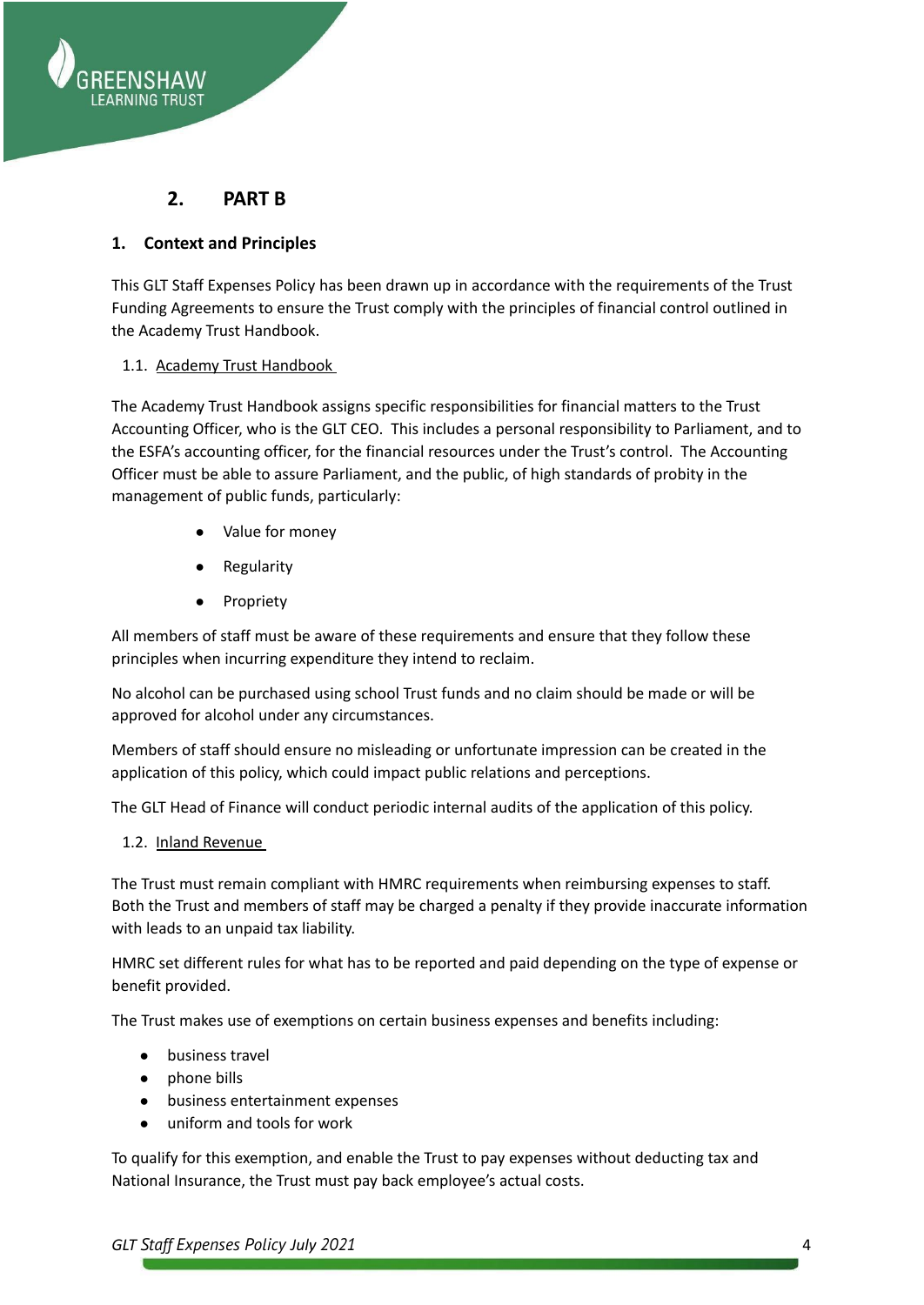

## **2. PART B**

### <span id="page-3-1"></span><span id="page-3-0"></span>**1. Context and Principles**

This GLT Staff Expenses Policy has been drawn up in accordance with the requirements of the Trust Funding Agreements to ensure the Trust comply with the principles of financial control outlined in the Academy Trust Handbook.

#### <span id="page-3-2"></span>1.1. Academy Trust Handbook

The Academy Trust Handbook assigns specific responsibilities for financial matters to the Trust Accounting Officer, who is the GLT CEO. This includes a personal responsibility to Parliament, and to the ESFA's accounting officer, for the financial resources under the Trust's control. The Accounting Officer must be able to assure Parliament, and the public, of high standards of probity in the management of public funds, particularly:

- Value for money
- **Regularity**
- **Propriety**

All members of staff must be aware of these requirements and ensure that they follow these principles when incurring expenditure they intend to reclaim.

No alcohol can be purchased using school Trust funds and no claim should be made or will be approved for alcohol under any circumstances.

Members of staff should ensure no misleading or unfortunate impression can be created in the application of this policy, which could impact public relations and perceptions.

The GLT Head of Finance will conduct periodic internal audits of the application of this policy.

<span id="page-3-3"></span>1.2. Inland Revenue

The Trust must remain compliant with HMRC requirements when reimbursing expenses to staff. Both the Trust and members of staff may be charged a penalty if they provide inaccurate information with leads to an unpaid tax liability.

HMRC set different rules for what has to be reported and paid depending on the type of expense or benefit provided.

The Trust makes use of exemptions on certain business expenses and benefits including:

- business travel
- phone bills
- business entertainment expenses
- uniform and tools for work

To qualify for this exemption, and enable the Trust to pay expenses without deducting tax and National Insurance, the Trust must pay back employee's actual costs.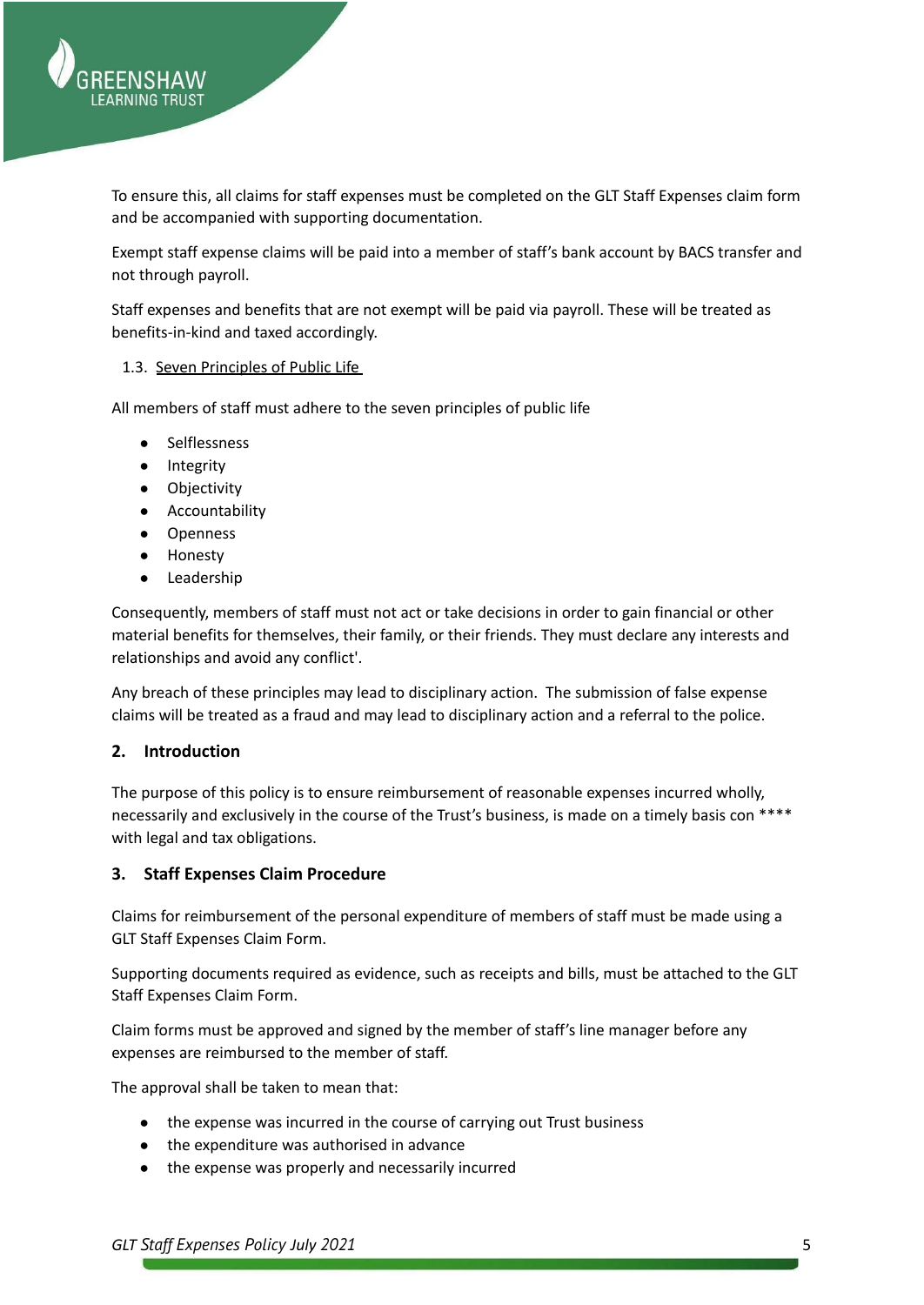

To ensure this, all claims for staff expenses must be completed on the GLT Staff Expenses claim form and be accompanied with supporting documentation.

Exempt staff expense claims will be paid into a member of staff's bank account by BACS transfer and not through payroll.

Staff expenses and benefits that are not exempt will be paid via payroll. These will be treated as benefits-in-kind and taxed accordingly.

#### <span id="page-4-0"></span>1.3. Seven Principles of Public Life

All members of staff must adhere to the seven principles of public life

- **Selflessness**
- Integrity
- Objectivity
- Accountability
- Openness
- **Honesty**
- Leadership

Consequently, members of staff must not act or take decisions in order to gain financial or other material benefits for themselves, their family, or their friends. They must declare any interests and relationships and avoid any conflict'.

Any breach of these principles may lead to disciplinary action. The submission of false expense claims will be treated as a fraud and may lead to disciplinary action and a referral to the police.

#### <span id="page-4-1"></span>**2. Introduction**

The purpose of this policy is to ensure reimbursement of reasonable expenses incurred wholly, necessarily and exclusively in the course of the Trust's business, is made on a timely basis con \*\*\*\* with legal and tax obligations.

#### <span id="page-4-2"></span>**3. Staff Expenses Claim Procedure**

Claims for reimbursement of the personal expenditure of members of staff must be made using a GLT Staff Expenses Claim Form.

Supporting documents required as evidence, such as receipts and bills, must be attached to the GLT Staff Expenses Claim Form.

Claim forms must be approved and signed by the member of staff's line manager before any expenses are reimbursed to the member of staff.

The approval shall be taken to mean that:

- the expense was incurred in the course of carrying out Trust business
- the expenditure was authorised in advance
- the expense was properly and necessarily incurred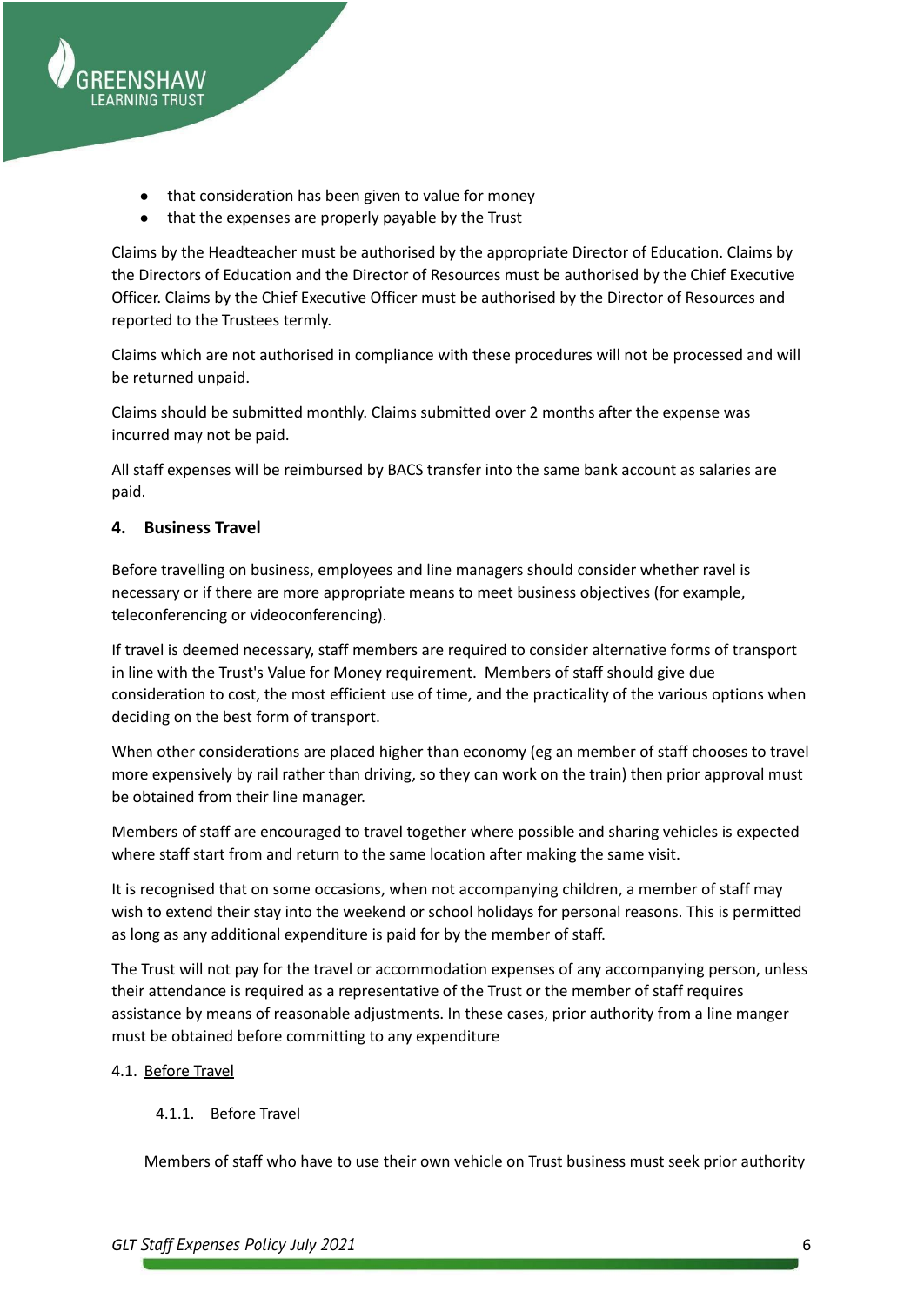

- that consideration has been given to value for money
- that the expenses are properly payable by the Trust

Claims by the Headteacher must be authorised by the appropriate Director of Education. Claims by the Directors of Education and the Director of Resources must be authorised by the Chief Executive Officer. Claims by the Chief Executive Officer must be authorised by the Director of Resources and reported to the Trustees termly.

Claims which are not authorised in compliance with these procedures will not be processed and will be returned unpaid.

Claims should be submitted monthly. Claims submitted over 2 months after the expense was incurred may not be paid.

All staff expenses will be reimbursed by BACS transfer into the same bank account as salaries are paid.

## <span id="page-5-0"></span>**4. Business Travel**

Before travelling on business, employees and line managers should consider whether ravel is necessary or if there are more appropriate means to meet business objectives (for example, teleconferencing or videoconferencing).

If travel is deemed necessary, staff members are required to consider alternative forms of transport in line with the Trust's Value for Money requirement. Members of staff should give due consideration to cost, the most efficient use of time, and the practicality of the various options when deciding on the best form of transport.

When other considerations are placed higher than economy (eg an member of staff chooses to travel more expensively by rail rather than driving, so they can work on the train) then prior approval must be obtained from their line manager.

Members of staff are encouraged to travel together where possible and sharing vehicles is expected where staff start from and return to the same location after making the same visit.

It is recognised that on some occasions, when not accompanying children, a member of staff may wish to extend their stay into the weekend or school holidays for personal reasons. This is permitted as long as any additional expenditure is paid for by the member of staff.

The Trust will not pay for the travel or accommodation expenses of any accompanying person, unless their attendance is required as a representative of the Trust or the member of staff requires assistance by means of reasonable adjustments. In these cases, prior authority from a line manger must be obtained before committing to any expenditure

#### <span id="page-5-1"></span>4.1. Before Travel

#### 4.1.1. Before Travel

Members of staff who have to use their own vehicle on Trust business must seek prior authority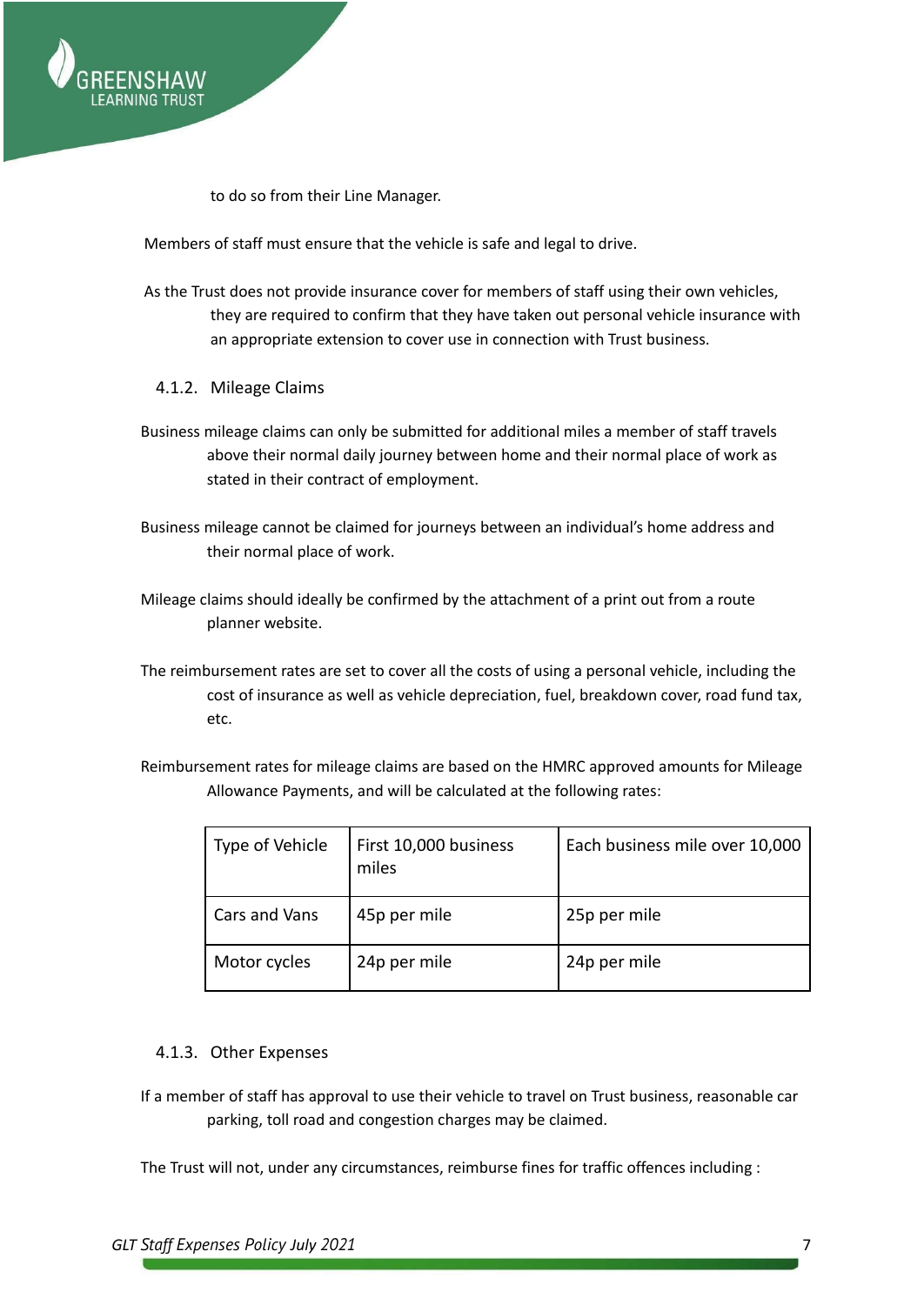

to do so from their Line Manager.

Members of staff must ensure that the vehicle is safe and legal to drive.

- As the Trust does not provide insurance cover for members of staff using their own vehicles, they are required to confirm that they have taken out personal vehicle insurance with an appropriate extension to cover use in connection with Trust business.
	- 4.1.2. Mileage Claims
- <span id="page-6-0"></span>Business mileage claims can only be submitted for additional miles a member of staff travels above their normal daily journey between home and their normal place of work as stated in their contract of employment.
- Business mileage cannot be claimed for journeys between an individual's home address and their normal place of work.
- Mileage claims should ideally be confirmed by the attachment of a print out from a route planner website.
- The reimbursement rates are set to cover all the costs of using a personal vehicle, including the cost of insurance as well as vehicle depreciation, fuel, breakdown cover, road fund tax, etc.
- Reimbursement rates for mileage claims are based on the HMRC approved amounts for Mileage Allowance Payments, and will be calculated at the following rates:

| Type of Vehicle | First 10,000 business<br>miles | Each business mile over 10,000 |
|-----------------|--------------------------------|--------------------------------|
| Cars and Vans   | 45p per mile                   | 25p per mile                   |
| Motor cycles    | 24p per mile                   | 24p per mile                   |

#### 4.1.3. Other Expenses

If a member of staff has approval to use their vehicle to travel on Trust business, reasonable car parking, toll road and congestion charges may be claimed.

The Trust will not, under any circumstances, reimburse fines for traffic offences including :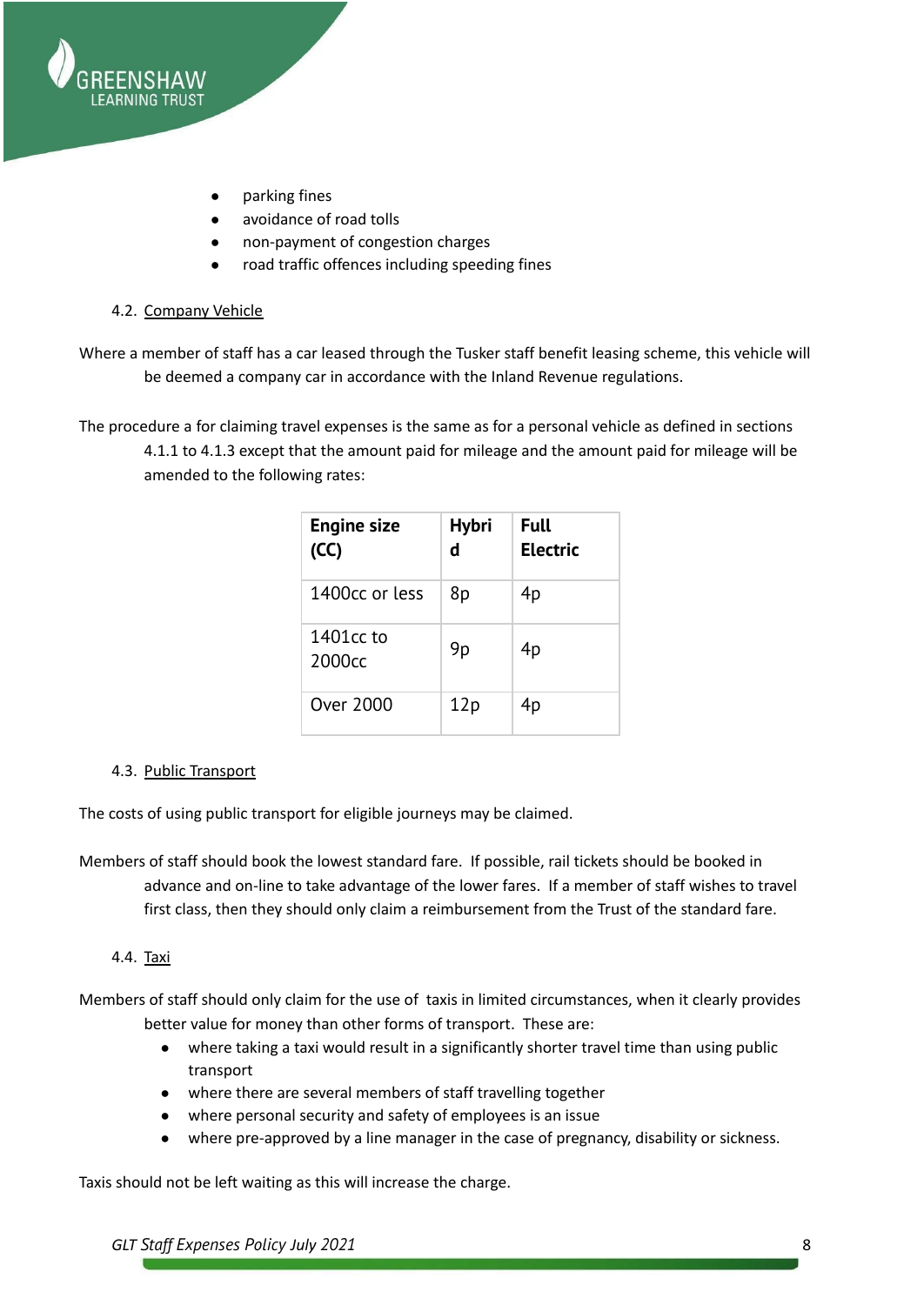

- parking fines
- avoidance of road tolls
- non-payment of congestion charges
- road traffic offences including speeding fines

#### <span id="page-7-0"></span>4.2. Company Vehicle

- Where a member of staff has a car leased through the Tusker staff benefit leasing scheme, this vehicle will be deemed a company car in accordance with the Inland Revenue regulations.
- The procedure a for claiming travel expenses is the same as for a personal vehicle as defined in sections 4.1.1 to 4.1.3 except that the amount paid for mileage and the amount paid for mileage will be amended to the following rates:

| <b>Engine size</b><br>(CC)      | <b>Hybri</b><br>d | <b>Full</b><br><b>Electric</b> |
|---------------------------------|-------------------|--------------------------------|
| 1400cc or less                  | 8p                | 4p                             |
| 1401cc to<br>2000 <sub>cc</sub> | 9p                | 4p                             |
| Over 2000                       | 12p               | 4p                             |

#### <span id="page-7-1"></span>4.3. Public Transport

The costs of using public transport for eligible journeys may be claimed.

Members of staff should book the lowest standard fare. If possible, rail tickets should be booked in advance and on-line to take advantage of the lower fares. If a member of staff wishes to travel first class, then they should only claim a reimbursement from the Trust of the standard fare.

#### <span id="page-7-2"></span>4.4. Taxi

Members of staff should only claim for the use of taxis in limited circumstances, when it clearly provides better value for money than other forms of transport. These are:

- where taking a taxi would result in a significantly shorter travel time than using public transport
- where there are several members of staff travelling together
- where personal security and safety of employees is an issue
- where pre-approved by a line manager in the case of pregnancy, disability or sickness.

Taxis should not be left waiting as this will increase the charge.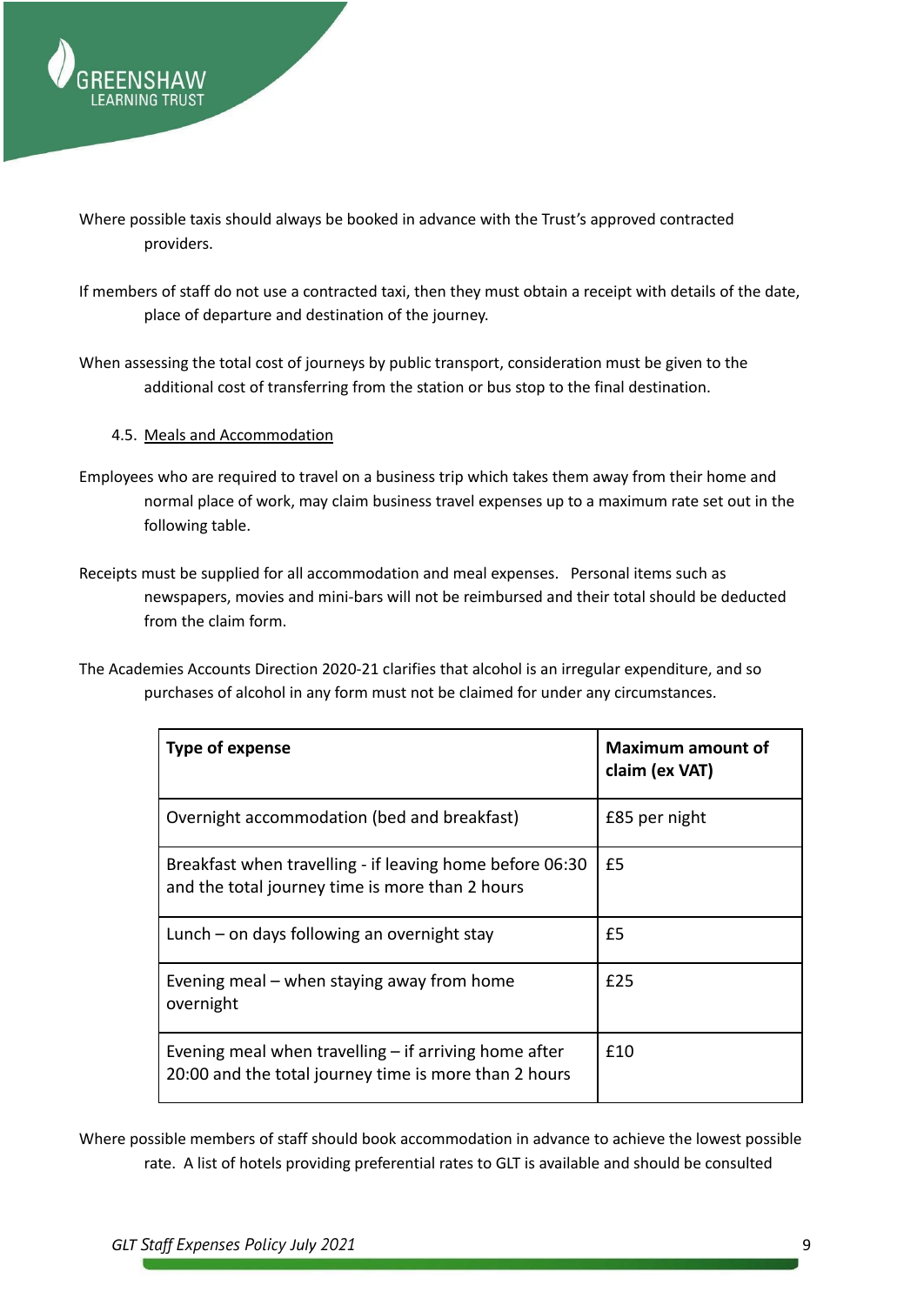

- Where possible taxis should always be booked in advance with the Trust's approved contracted providers.
- If members of staff do not use a contracted taxi, then they must obtain a receipt with details of the date, place of departure and destination of the journey.
- When assessing the total cost of journeys by public transport, consideration must be given to the additional cost of transferring from the station or bus stop to the final destination.

#### <span id="page-8-0"></span>4.5. Meals and Accommodation

- Employees who are required to travel on a business trip which takes them away from their home and normal place of work, may claim business travel expenses up to a maximum rate set out in the following table.
- Receipts must be supplied for all accommodation and meal expenses. Personal items such as newspapers, movies and mini-bars will not be reimbursed and their total should be deducted from the claim form.
- The Academies Accounts Direction 2020-21 clarifies that alcohol is an irregular expenditure, and so purchases of alcohol in any form must not be claimed for under any circumstances.

| Type of expense                                                                                                  | <b>Maximum amount of</b><br>claim (ex VAT) |
|------------------------------------------------------------------------------------------------------------------|--------------------------------------------|
| Overnight accommodation (bed and breakfast)                                                                      | £85 per night                              |
| Breakfast when travelling - if leaving home before 06:30<br>and the total journey time is more than 2 hours      | £5                                         |
| Lunch – on days following an overnight stay                                                                      | £5                                         |
| Evening meal – when staying away from home<br>overnight                                                          | f25                                        |
| Evening meal when travelling $-$ if arriving home after<br>20:00 and the total journey time is more than 2 hours | f10                                        |

Where possible members of staff should book accommodation in advance to achieve the lowest possible rate. A list of hotels providing preferential rates to GLT is available and should be consulted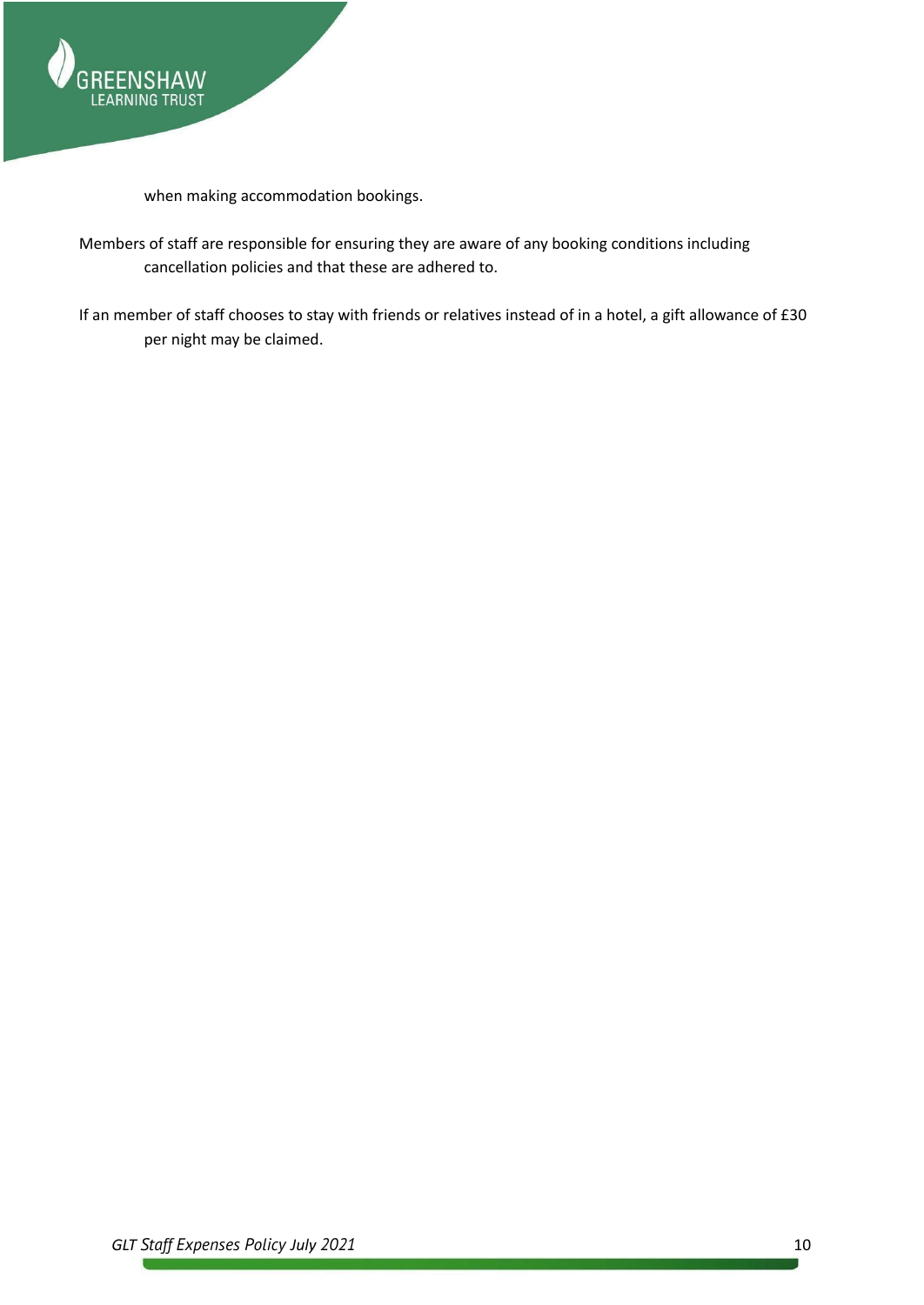

when making accommodation bookings.

- Members of staff are responsible for ensuring they are aware of any booking conditions including cancellation policies and that these are adhered to.
- If an member of staff chooses to stay with friends or relatives instead of in a hotel, a gift allowance of £30 per night may be claimed.